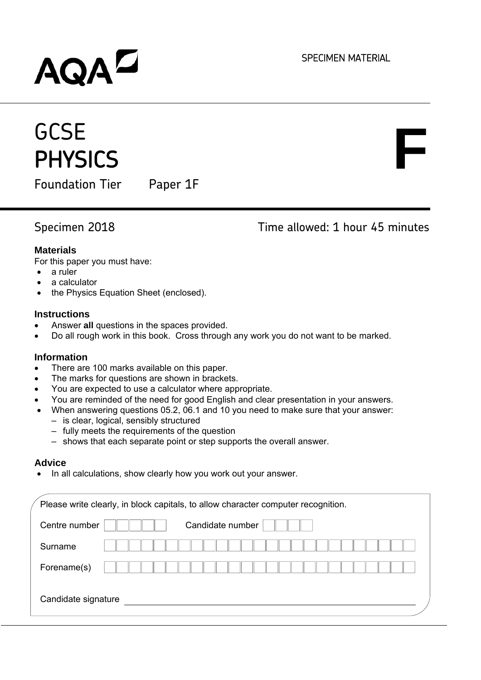SPECIMEN MATERIAL

# **AQAL**

## **GCSE PHYSICS**

Foundation Tier Paper 1F

Specimen 2018 Time allowed: 1 hour 45 minutes

**F**

### **Materials**

For this paper you must have:

- a ruler
- a calculator
- the Physics Equation Sheet (enclosed).

#### **Instructions**

- Answer **all** questions in the spaces provided.
- Do all rough work in this book. Cross through any work you do not want to be marked.

### **Information**

- There are 100 marks available on this paper.
- The marks for questions are shown in brackets.
- You are expected to use a calculator where appropriate.
- You are reminded of the need for good English and clear presentation in your answers.
- When answering questions 05.2, 06.1 and 10 you need to make sure that your answer:
	- ‒ is clear, logical, sensibly structured
	- ‒ fully meets the requirements of the question
	- ‒ shows that each separate point or step supports the overall answer.

#### **Advice**

In all calculations, show clearly how you work out your answer.

|                     | Please write clearly, in block capitals, to allow character computer recognition. |
|---------------------|-----------------------------------------------------------------------------------|
| Centre number       | Candidate number                                                                  |
| Surname             |                                                                                   |
| Forename(s)         |                                                                                   |
| Candidate signature |                                                                                   |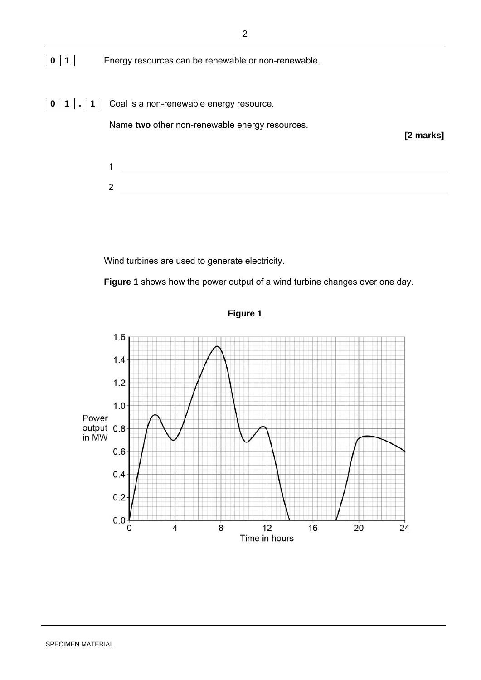

Wind turbines are used to generate electricity.

 **Figure 1** shows how the power output of a wind turbine changes over one day.



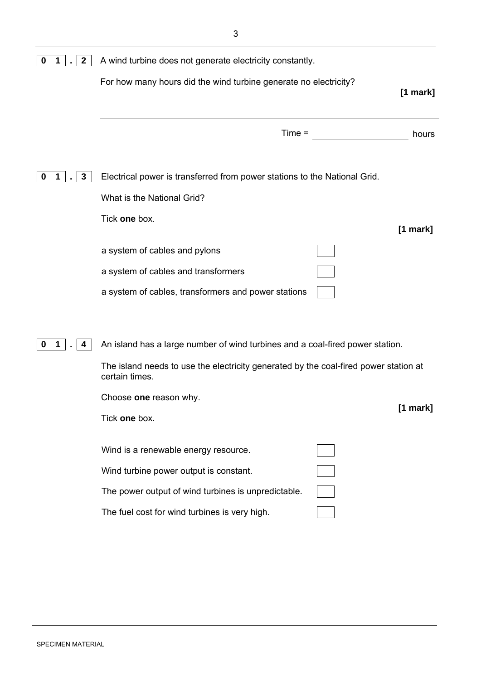|                                                     | $[1$ mark]                                                                                                                                                                                                                                                                                                                                                                         |
|-----------------------------------------------------|------------------------------------------------------------------------------------------------------------------------------------------------------------------------------------------------------------------------------------------------------------------------------------------------------------------------------------------------------------------------------------|
| $Time =$                                            | hours                                                                                                                                                                                                                                                                                                                                                                              |
|                                                     |                                                                                                                                                                                                                                                                                                                                                                                    |
| What is the National Grid?                          |                                                                                                                                                                                                                                                                                                                                                                                    |
| Tick one box.                                       | $[1$ mark]                                                                                                                                                                                                                                                                                                                                                                         |
| a system of cables and pylons                       |                                                                                                                                                                                                                                                                                                                                                                                    |
| a system of cables and transformers                 |                                                                                                                                                                                                                                                                                                                                                                                    |
| a system of cables, transformers and power stations |                                                                                                                                                                                                                                                                                                                                                                                    |
|                                                     |                                                                                                                                                                                                                                                                                                                                                                                    |
|                                                     |                                                                                                                                                                                                                                                                                                                                                                                    |
| certain times.                                      |                                                                                                                                                                                                                                                                                                                                                                                    |
| Choose one reason why.                              | $[1$ mark]                                                                                                                                                                                                                                                                                                                                                                         |
| Tick one box.                                       |                                                                                                                                                                                                                                                                                                                                                                                    |
| Wind is a renewable energy resource.                |                                                                                                                                                                                                                                                                                                                                                                                    |
| Wind turbine power output is constant.              |                                                                                                                                                                                                                                                                                                                                                                                    |
| The power output of wind turbines is unpredictable. |                                                                                                                                                                                                                                                                                                                                                                                    |
| The fuel cost for wind turbines is very high.       |                                                                                                                                                                                                                                                                                                                                                                                    |
|                                                     | A wind turbine does not generate electricity constantly.<br>For how many hours did the wind turbine generate no electricity?<br>Electrical power is transferred from power stations to the National Grid.<br>An island has a large number of wind turbines and a coal-fired power station.<br>The island needs to use the electricity generated by the coal-fired power station at |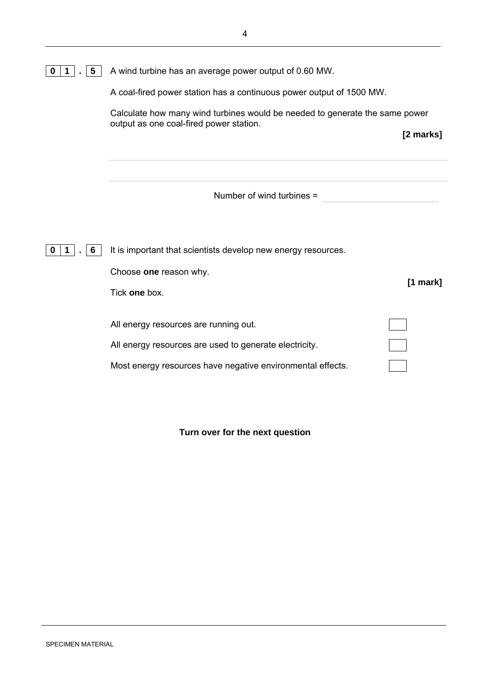|  |  |  |  | $\boxed{0}$ 1. $\boxed{5}$ A wind turbine has an average power output of 0.60 MW. |
|--|--|--|--|-----------------------------------------------------------------------------------|
|--|--|--|--|-----------------------------------------------------------------------------------|

A coal-fired power station has a continuous power output of 1500 MW.

Calculate how many wind turbines would be needed to generate the same power output as one coal-fired power station.

 **[2 marks]**

Number of wind turbines =

**0 1** . **6 I** tis important that scientists develop new energy resources.

Choose **one** reason why.

Tick **one** box.

All energy resources are running out.

All energy resources are used to generate electricity.

 **[1 mark]**

Most energy resources have negative environmental effects.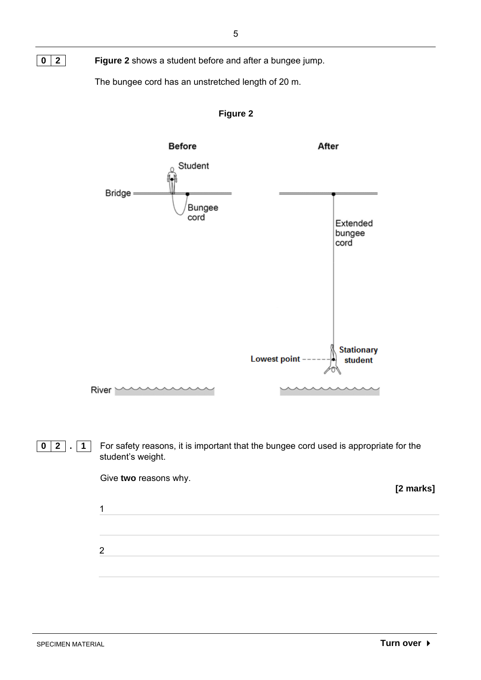

The bungee cord has an unstretched length of 20 m.



**Figure 2** 

**0** 2 . **1** For safety reasons, it is important that the bungee cord used is appropriate for the student's weight.

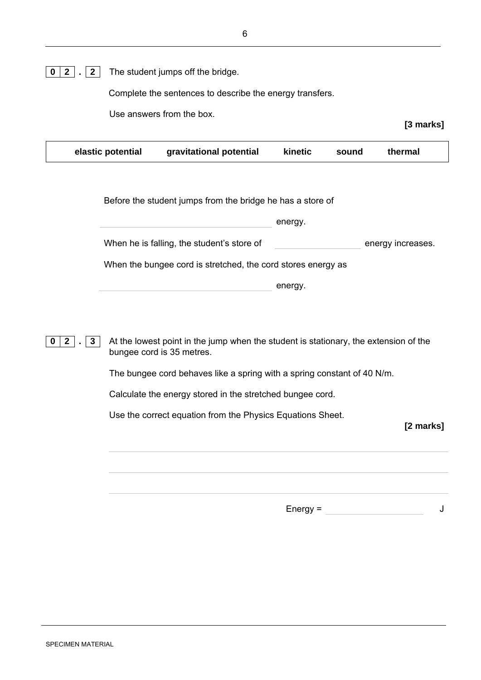Complete the sentences to describe the energy transfers.

Use answers from the box.

| gravitational potential<br>elastic potential<br>kinetic | thermal<br>sound |  |
|---------------------------------------------------------|------------------|--|
|---------------------------------------------------------|------------------|--|

Before the student jumps from the bridge he has a store of

energy.

When he is falling, the student's store of energy increases.

When the bungee cord is stretched, the cord stores energy as

energy.

**0** 2 . 3 At the lowest point in the jump when the student is stationary, the extension of the bungee cord is 35 metres.

The bungee cord behaves like a spring with a spring constant of 40 N/m.

Calculate the energy stored in the stretched bungee cord.

Use the correct equation from the Physics Equations Sheet.

**[2 marks]**

 $Energy =$  J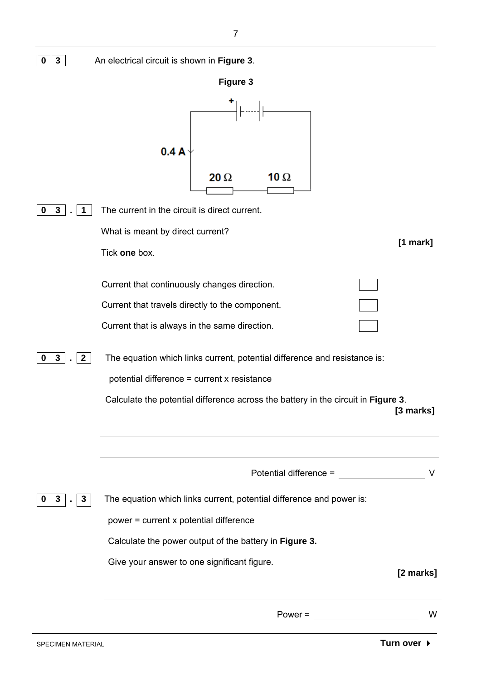| $\mathbf{3}$<br>0                         | An electrical circuit is shown in Figure 3.                                                                                                                                                                                                                                                                                                                       |            |
|-------------------------------------------|-------------------------------------------------------------------------------------------------------------------------------------------------------------------------------------------------------------------------------------------------------------------------------------------------------------------------------------------------------------------|------------|
|                                           | <b>Figure 3</b>                                                                                                                                                                                                                                                                                                                                                   |            |
|                                           | 0.4A                                                                                                                                                                                                                                                                                                                                                              |            |
|                                           | $20 \Omega$<br>10 $\Omega$                                                                                                                                                                                                                                                                                                                                        |            |
| 3 <sup>1</sup><br>$\bf{0}$<br>$\mathbf 1$ | The current in the circuit is direct current.<br>What is meant by direct current?<br>Tick one box.                                                                                                                                                                                                                                                                | $[1$ mark] |
| 3 <sup>1</sup><br>$\mathbf{2}$<br>0       | Current that continuously changes direction.<br>Current that travels directly to the component.<br>Current that is always in the same direction.<br>The equation which links current, potential difference and resistance is:<br>potential difference = current x resistance<br>Calculate the potential difference across the battery in the circuit in Figure 3. | [3 marks]  |
| $\mathbf{3}$<br>$\mathbf{3}$<br>U         | Potential difference =<br>The equation which links current, potential difference and power is:<br>power = current x potential difference<br>Calculate the power output of the battery in Figure 3.                                                                                                                                                                | V          |
|                                           | Give your answer to one significant figure.                                                                                                                                                                                                                                                                                                                       | [2 marks]  |
|                                           | $Power =$                                                                                                                                                                                                                                                                                                                                                         | W          |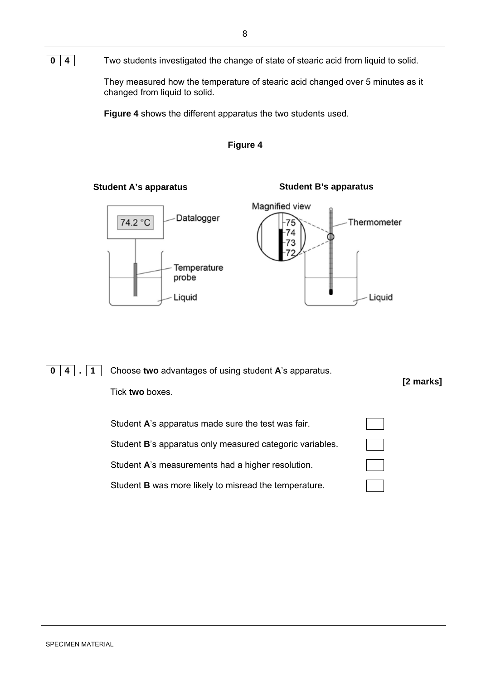**0** 4 **Two students investigated the change of state of stearic acid from liquid to solid.** 

 They measured how the temperature of stearic acid changed over 5 minutes as it changed from liquid to solid.

**Figure 4** shows the different apparatus the two students used.



#### Student A's apparatus **Student B's apparatus**



Liquid



**0 4.** 1 Choose two advantages of using student A's apparatus.  **[2 marks]** Tick **two** boxes. Student **A**'s apparatus made sure the test was fair.

> Student **B**'s apparatus only measured categoric variables. Student **A**'s measurements had a higher resolution.

Student **B** was more likely to misread the temperature.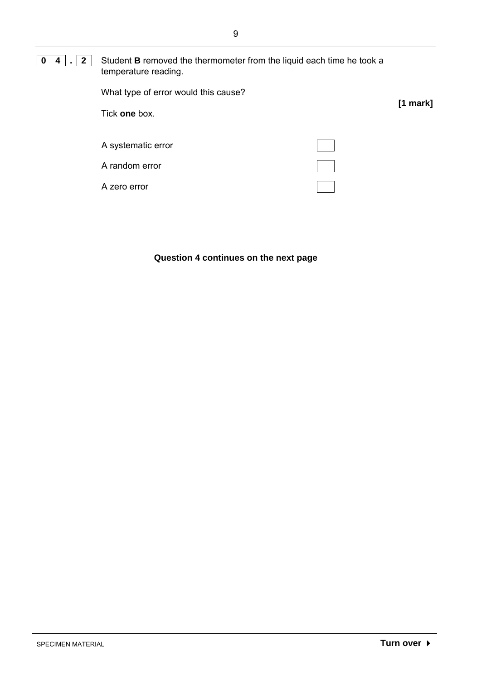#### **0 4 . 2 Student B** removed the thermometer from the liquid each time he took a temperature reading.

| What type of error would this cause? | $[1$ mark] |
|--------------------------------------|------------|
| Tick one box.                        |            |
| A systematic error                   |            |
| A random error                       |            |
| A zero error                         |            |

#### **Question 4 continues on the next page**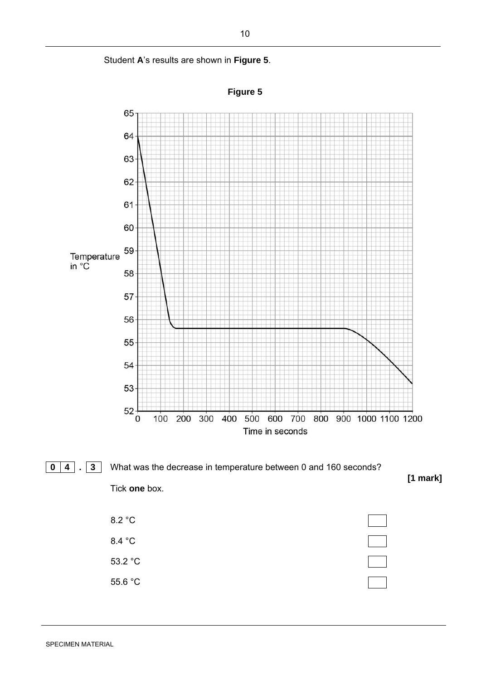



10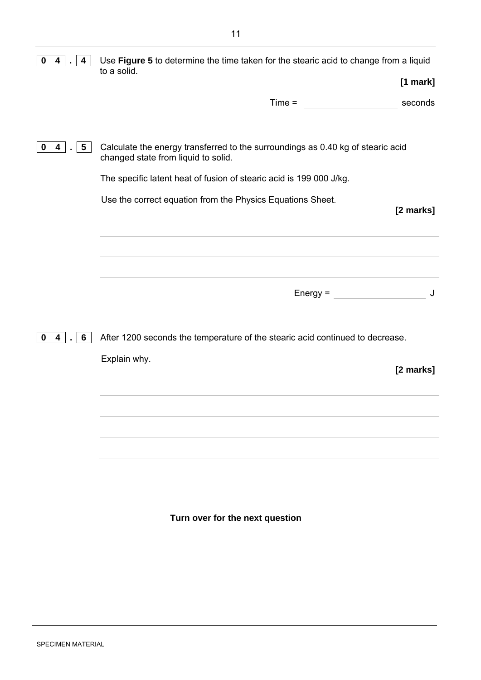| 4<br>4<br>0               | Use Figure 5 to determine the time taken for the stearic acid to change from a liquid<br>to a solid.                   |
|---------------------------|------------------------------------------------------------------------------------------------------------------------|
|                           | $[1$ mark]                                                                                                             |
|                           | $Time =$<br>seconds                                                                                                    |
|                           |                                                                                                                        |
| $5\overline{)}$<br>0<br>4 | Calculate the energy transferred to the surroundings as 0.40 kg of stearic acid<br>changed state from liquid to solid. |
|                           | The specific latent heat of fusion of stearic acid is 199 000 J/kg.                                                    |
|                           | Use the correct equation from the Physics Equations Sheet.<br>[2 marks]                                                |
|                           |                                                                                                                        |
|                           |                                                                                                                        |
|                           |                                                                                                                        |
|                           | Energy = $\frac{1}{2}$<br>J                                                                                            |
|                           |                                                                                                                        |
|                           |                                                                                                                        |
| 4<br>6<br>0               | After 1200 seconds the temperature of the stearic acid continued to decrease.                                          |
|                           | Explain why.<br>[2 marks]                                                                                              |
|                           |                                                                                                                        |
|                           |                                                                                                                        |
|                           |                                                                                                                        |
|                           |                                                                                                                        |
|                           |                                                                                                                        |
|                           |                                                                                                                        |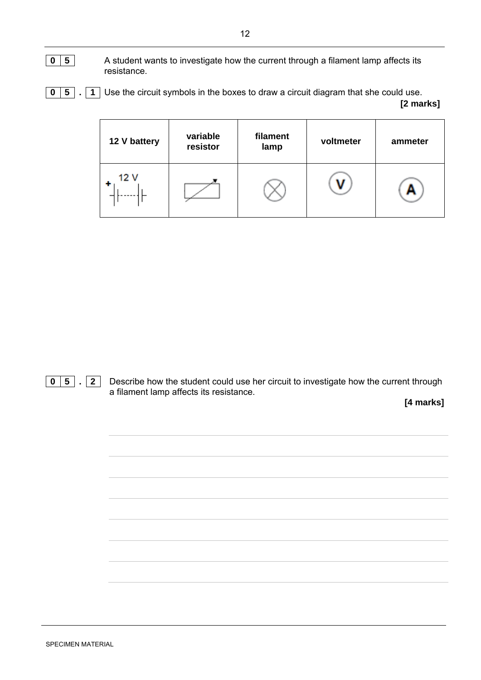- **0 5** A student wants to investigate how the current through a filament lamp affects its resistance.
- **0 5.** 1 Use the circuit symbols in the boxes to draw a circuit diagram that she could use.

 **[2 marks]**

| 12 V battery | variable<br>resistor | filament<br>lamp | voltmeter | ammeter |
|--------------|----------------------|------------------|-----------|---------|
| 12 V         |                      |                  |           |         |



**0** 5 . 2 Describe how the student could use her circuit to investigate how the current through a filament lamp affects its resistance.

 **[4 marks]**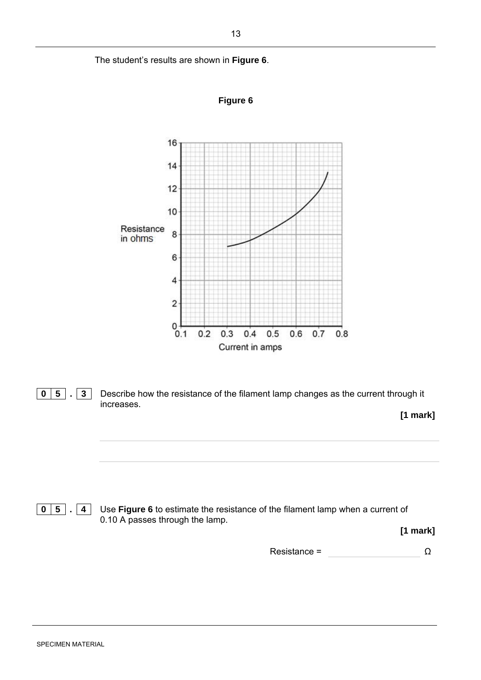The student's results are shown in **Figure 6**.







**0 5. 4** Use Figure 6 to estimate the resistance of the filament lamp when a current of 0.10 A passes through the lamp.

**[1 mark]**

 $Resistance =$   $\Omega$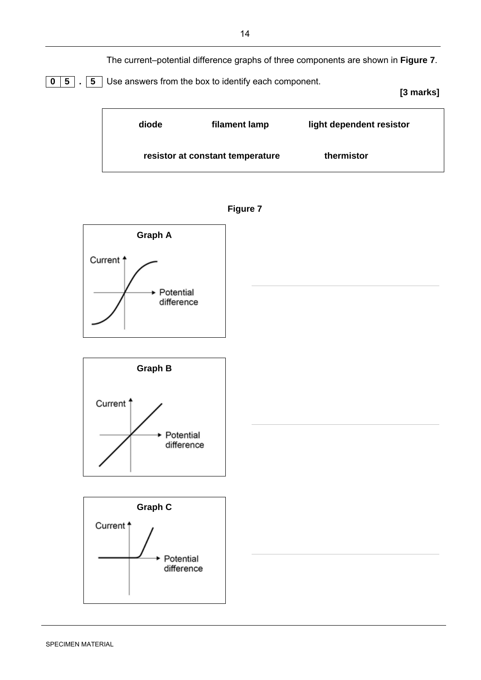The current–potential difference graphs of three components are shown in **Figure 7**.



 **[3 marks]**





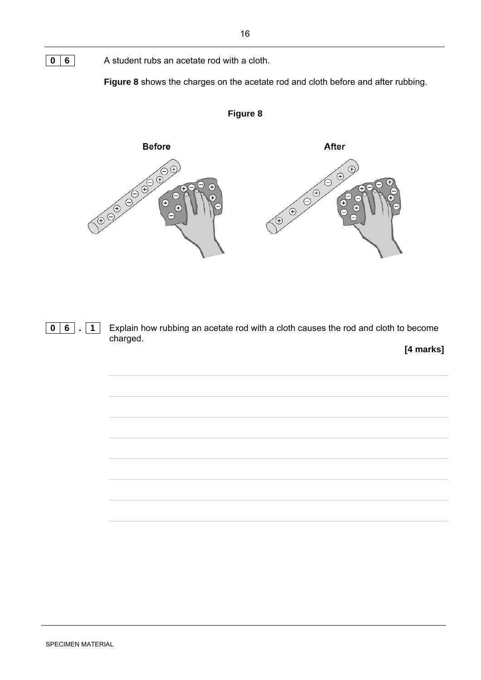**0 6** A student rubs an acetate rod with a cloth.

 **Figure 8** shows the charges on the acetate rod and cloth before and after rubbing.



**Figure 8** 

**0 6.** 1 Explain how rubbing an acetate rod with a cloth causes the rod and cloth to become charged.

**[4 marks]**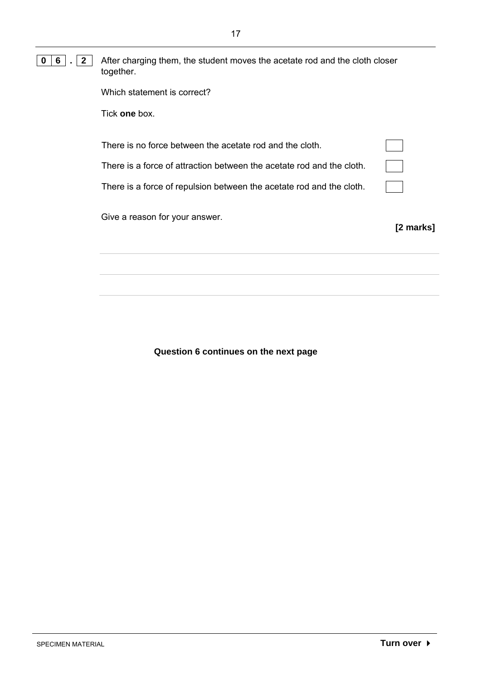#### **0 6 . 2** After charging them, the student moves the acetate rod and the cloth closer together.

| Which statement is correct? |  |
|-----------------------------|--|
|-----------------------------|--|

Tick **one** box.

| There is no force between the acetate rod and the cloth.              |  |
|-----------------------------------------------------------------------|--|
| There is a force of attraction between the acetate rod and the cloth. |  |
| There is a force of repulsion between the acetate rod and the cloth.  |  |

Give a reason for your answer.

**[2 marks]**

**Question 6 continues on the next page**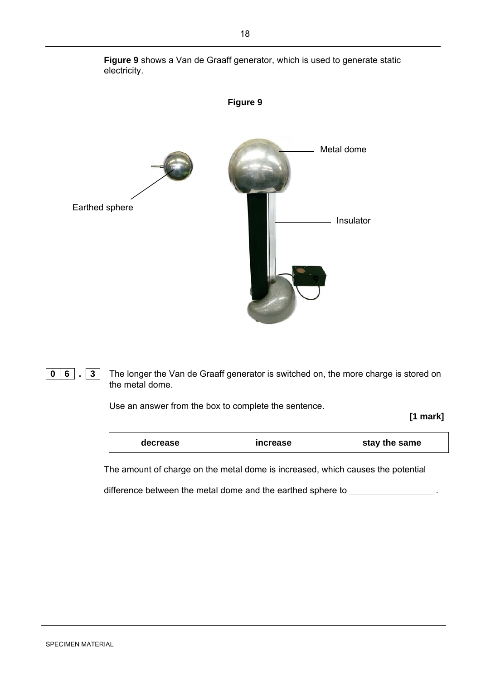

 **Figure 9** shows a Van de Graaff generator, which is used to generate static electricity.

**0 6.** 3 The longer the Van de Graaff generator is switched on, the more charge is stored on the metal dome.

Use an answer from the box to complete the sentence.

**[1 mark]**

| decrease | increase | stay the same |
|----------|----------|---------------|
|          |          |               |

The amount of charge on the metal dome is increased, which causes the potential

difference between the metal dome and the earthed sphere to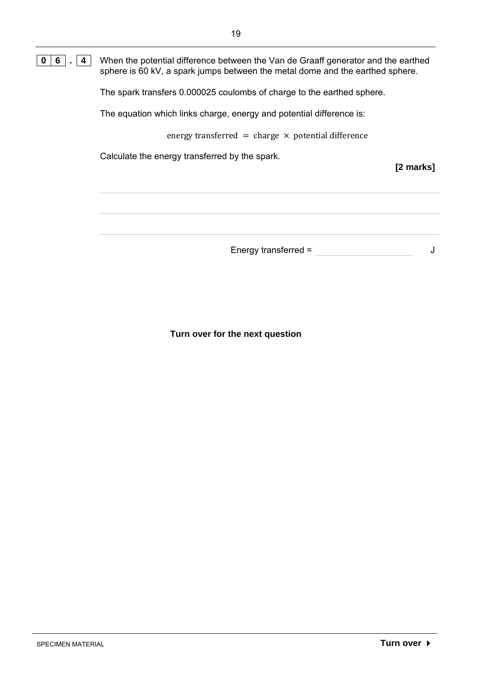#### **0 6.** 4 When the potential difference between the Van de Graaff generator and the earthed sphere is 60 kV, a spark jumps between the metal dome and the earthed sphere.

The spark transfers 0.000025 coulombs of charge to the earthed sphere.

The equation which links charge, energy and potential difference is:

energy transferred = charge  $\times$  potential difference

Calculate the energy transferred by the spark.

**[2 marks]**

Energy transferred =  $\qquad \qquad$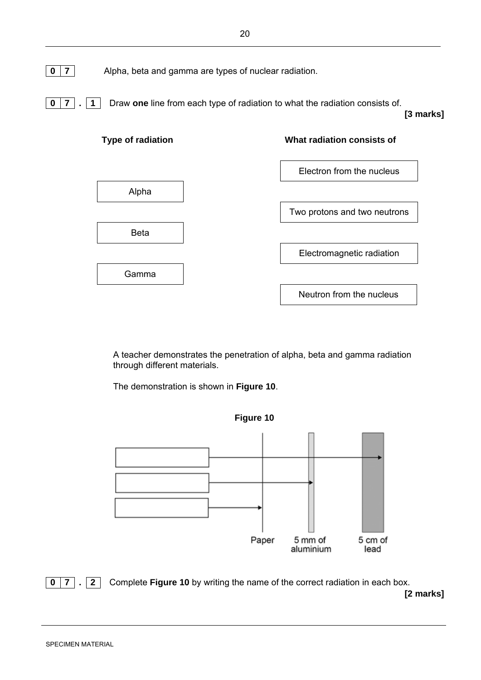

**0** 7 . **1** Draw **one** line from each type of radiation to what the radiation consists of. **[3 marks]**



A teacher demonstrates the penetration of alpha, beta and gamma radiation through different materials.

The demonstration is shown in **Figure 10**.



**0** 7 . 2 Complete Figure 10 by writing the name of the correct radiation in each box. **[2 marks]**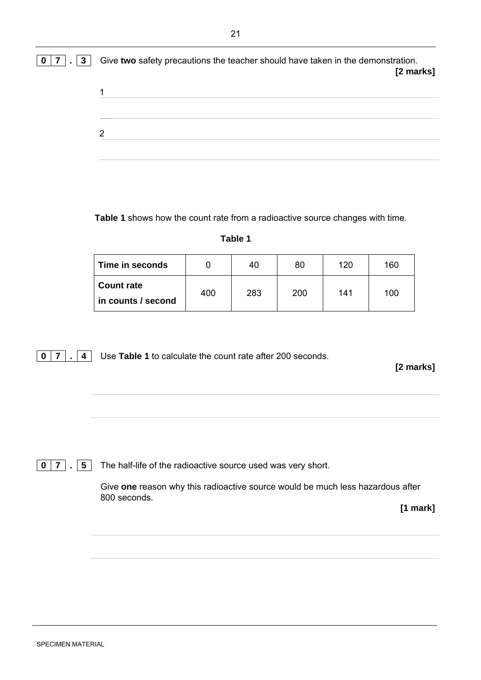| 0 7 . 3 | Give two safety precautions the teacher should have taken in the demonstration.<br>[2 marks] |
|---------|----------------------------------------------------------------------------------------------|
|         |                                                                                              |
|         | っ                                                                                            |
|         |                                                                                              |

**Table 1** shows how the count rate from a radioactive source changes with time.

#### **Table 1**

| Time in seconds                         |     | 40  | 80  | 120 | 160 |
|-----------------------------------------|-----|-----|-----|-----|-----|
| <b>Count rate</b><br>in counts / second | 400 | 283 | 200 | 141 | 100 |

**0** 7 . 4 Use Table 1 to calculate the count rate after 200 seconds.

**[2 marks]**

**0** 7 . 5 The half-life of the radioactive source used was very short.

Give **one** reason why this radioactive source would be much less hazardous after 800 seconds.

**[1 mark]**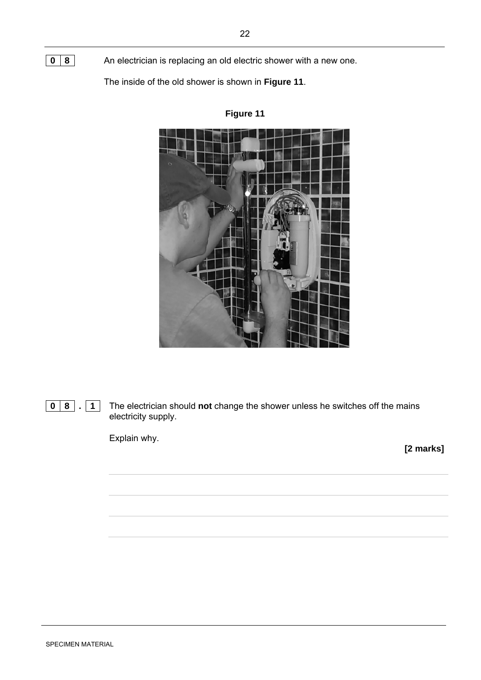**0 8.** 1 The electrician should **not** change the shower unless he switches off the mains electricity supply.

Explain why.

**[2 marks]**

## **Figure 11**



**0 8** An electrician is replacing an old electric shower with a new one.

The inside of the old shower is shown in **Figure 11**.

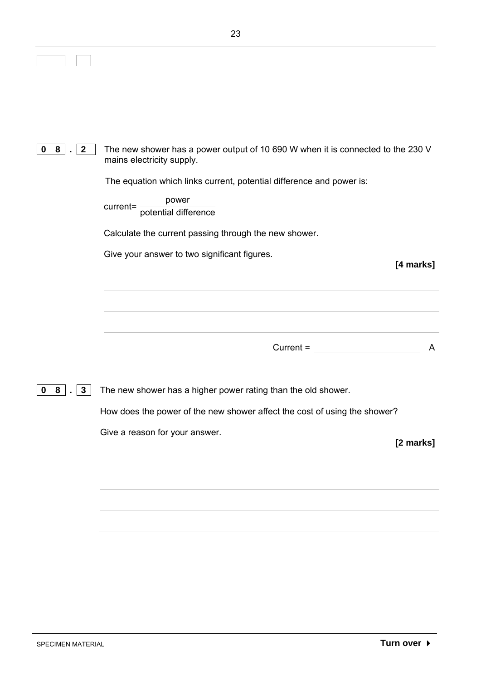|                                                                           | 23                                                                                                           |
|---------------------------------------------------------------------------|--------------------------------------------------------------------------------------------------------------|
|                                                                           |                                                                                                              |
|                                                                           |                                                                                                              |
|                                                                           |                                                                                                              |
|                                                                           |                                                                                                              |
| $\begin{array}{c} \boxed{2} \end{array}$<br>8 <sup>1</sup><br>$\mathbf 0$ | The new shower has a power output of 10 690 W when it is connected to the 230 V<br>mains electricity supply. |
|                                                                           | The equation which links current, potential difference and power is:                                         |
|                                                                           | current= potential difference                                                                                |
|                                                                           | Calculate the current passing through the new shower.                                                        |
|                                                                           | Give your answer to two significant figures.                                                                 |
|                                                                           | [4 marks]                                                                                                    |
|                                                                           |                                                                                                              |
|                                                                           |                                                                                                              |
|                                                                           | $Current =$<br>A                                                                                             |
| $\begin{array}{ c c c c c } \hline 8 & . & 3 \end{array}$<br>0            | The new shower has a higher power rating than the old shower.                                                |
|                                                                           | How does the power of the new shower affect the cost of using the shower?                                    |
|                                                                           | Give a reason for your answer.                                                                               |
|                                                                           | [2 marks]                                                                                                    |
|                                                                           |                                                                                                              |
|                                                                           |                                                                                                              |
|                                                                           |                                                                                                              |
|                                                                           |                                                                                                              |
|                                                                           |                                                                                                              |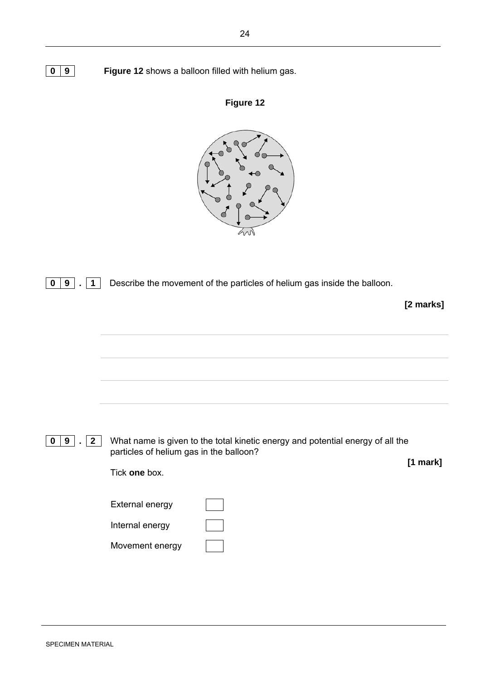| $\mathbf 0$<br>9<br>1                            | Describe the movement of the particles of helium gas inside the balloon.                                                                   | [2 marks] |
|--------------------------------------------------|--------------------------------------------------------------------------------------------------------------------------------------------|-----------|
|                                                  |                                                                                                                                            |           |
|                                                  |                                                                                                                                            |           |
|                                                  |                                                                                                                                            |           |
| 9<br>$\mathbf{2}$<br>$\mathbf 0$<br>$\mathbf{r}$ | What name is given to the total kinetic energy and potential energy of all the<br>particles of helium gas in the balloon?<br>Tick one box. | [1 mark]  |
|                                                  | External energy<br>Internal energy<br>Movement energy                                                                                      |           |

**0 9 Figure 12** shows a balloon filled with helium gas.

**Figure 12**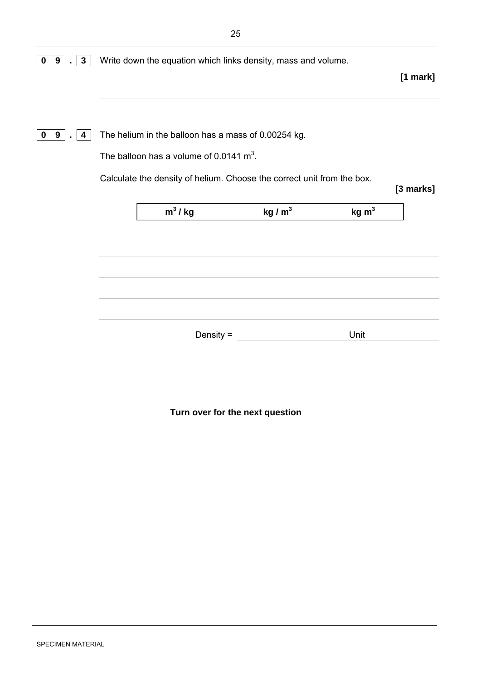| $3\phantom{a}$<br>9   | Write down the equation which links density, mass and volume. |                                                                        |           |                   |            |
|-----------------------|---------------------------------------------------------------|------------------------------------------------------------------------|-----------|-------------------|------------|
|                       |                                                               |                                                                        |           |                   | $[1$ mark] |
|                       |                                                               |                                                                        |           |                   |            |
| 9<br>$\mathbf 0$<br>4 |                                                               | The helium in the balloon has a mass of 0.00254 kg.                    |           |                   |            |
|                       |                                                               | The balloon has a volume of 0.0141 $m^3$ .                             |           |                   |            |
|                       |                                                               | Calculate the density of helium. Choose the correct unit from the box. |           |                   | [3 marks]  |
|                       |                                                               |                                                                        |           |                   |            |
|                       |                                                               | $m^3 / kg$                                                             | kg / $m3$ | kg m <sup>3</sup> |            |
|                       |                                                               |                                                                        |           |                   |            |
|                       |                                                               |                                                                        |           |                   |            |
|                       |                                                               |                                                                        |           |                   |            |
|                       |                                                               |                                                                        |           |                   |            |
|                       |                                                               |                                                                        |           |                   |            |
|                       |                                                               | Density $=$                                                            |           | Unit              |            |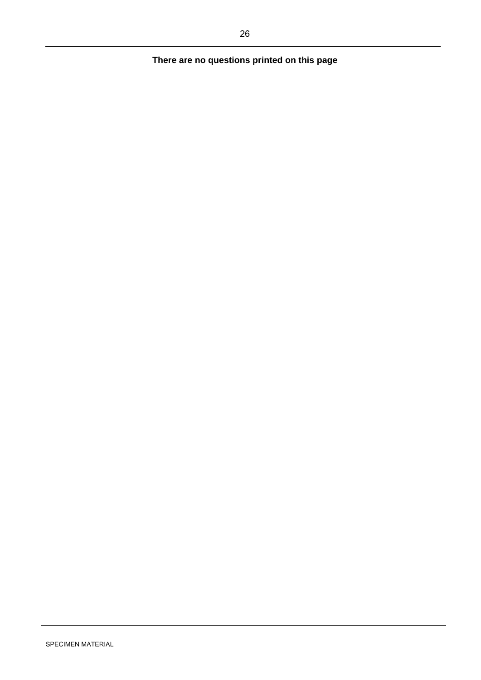## **There are no questions printed on this page**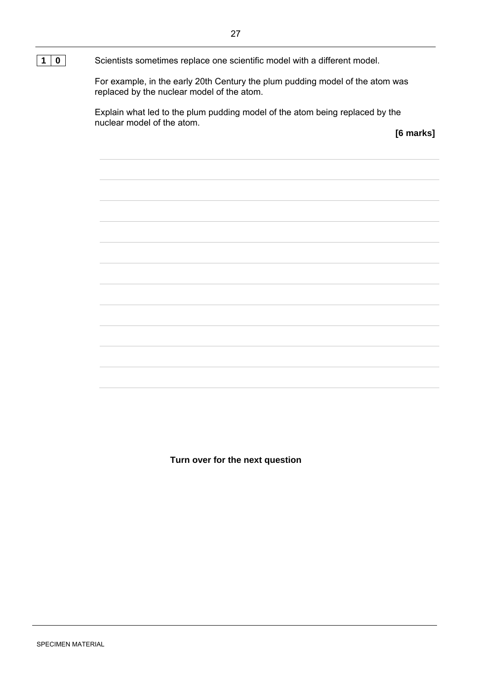For example, in the early 20th Century the plum pudding model of the atom was replaced by the nuclear model of the atom.

Explain what led to the plum pudding model of the atom being replaced by the nuclear model of the atom.

**[6 marks]**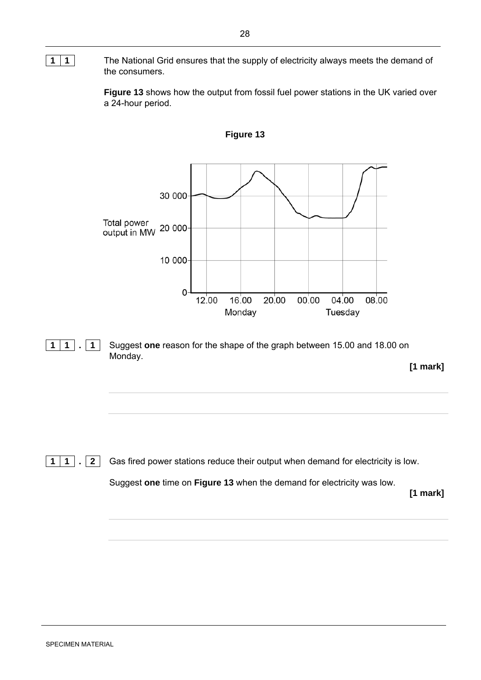#### **1 1 1 The National Grid ensures that the supply of electricity always meets the demand of** the consumers.

 **Figure 13** shows how the output from fossil fuel power stations in the UK varied over a 24-hour period.



**1 1** . **1** Suggest one reason for the shape of the graph between 15.00 and 18.00 on Monday.

**[1 mark]**

**1** 1 . **2** Gas fired power stations reduce their output when demand for electricity is low.

Suggest **one** time on **Figure 13** when the demand for electricity was low.

**[1 mark]**

**Figure 13**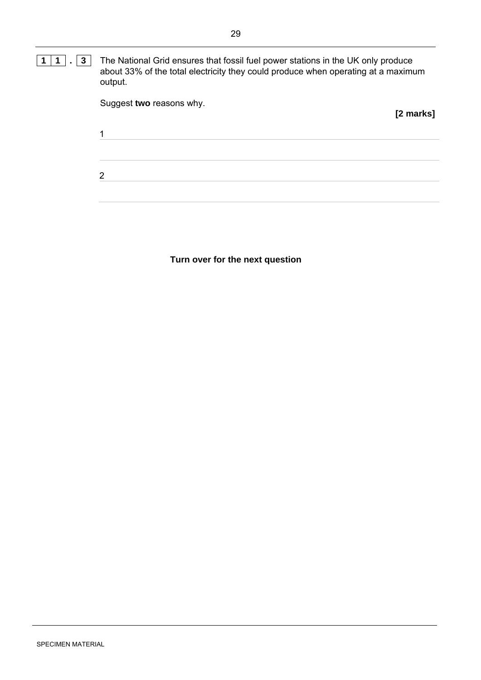**1** | **1** | . | **3** | The National Grid ensures that fossil fuel power stations in the UK only produce about 33% of the total electricity they could produce when operating at a maximum output.

| Suggest two reasons why. | [2 marks] |
|--------------------------|-----------|
| 1                        |           |
| $\overline{2}$           |           |
|                          |           |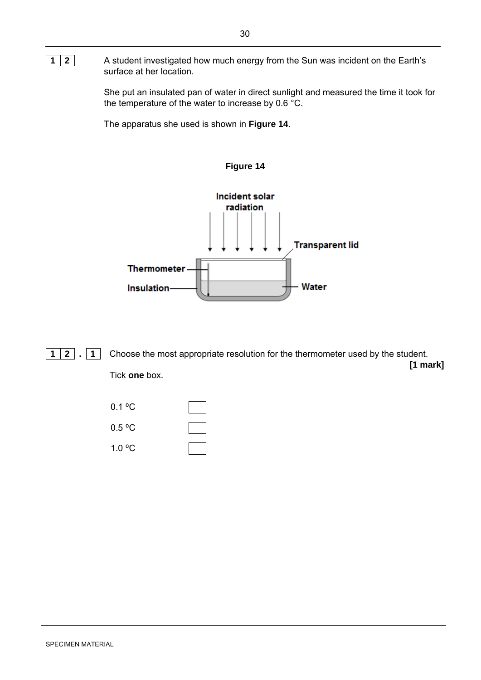#### **1 2 A student investigated how much energy from the Sun was incident on the Earth's** surface at her location.

She put an insulated pan of water in direct sunlight and measured the time it took for the temperature of the water to increase by 0.6  $^{\circ}$ C.

The apparatus she used is shown in **Figure 14**.



**1 2 . 1** Choose the most appropriate resolution for the thermometer used by the student. **[1 mark]** Tick **one** box.

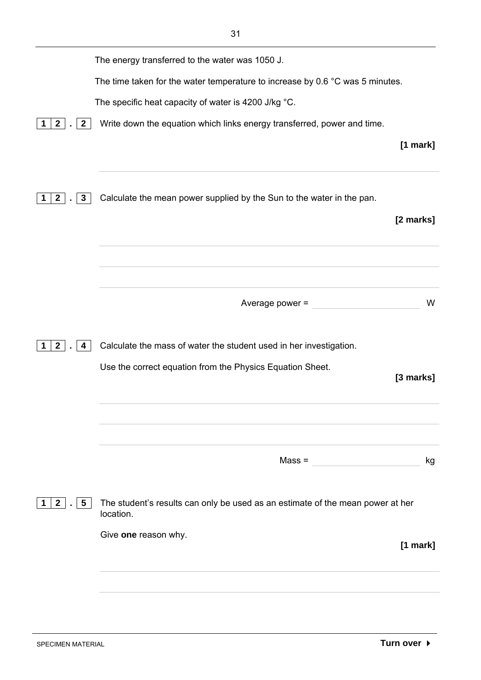|                              | The energy transferred to the water was 1050 J.                                             |                         |
|------------------------------|---------------------------------------------------------------------------------------------|-------------------------|
|                              | The time taken for the water temperature to increase by 0.6 $^{\circ}$ C was 5 minutes.     |                         |
|                              | The specific heat capacity of water is 4200 J/kg °C.                                        |                         |
| $\mathbf{2}$<br>$\mathbf{2}$ | Write down the equation which links energy transferred, power and time.                     |                         |
| 3<br>$\mathbf{2}$            | Calculate the mean power supplied by the Sun to the water in the pan.                       | $[1$ mark]<br>[2 marks] |
|                              | Average power =                                                                             | W                       |
| $\mathbf{2}$<br>4            | Calculate the mass of water the student used in her investigation.                          |                         |
|                              | Use the correct equation from the Physics Equation Sheet.                                   | [3 marks]               |
|                              | $Mass =$                                                                                    | kg                      |
| $2$ .<br>$5\overline{)}$     | The student's results can only be used as an estimate of the mean power at her<br>location. |                         |
|                              | Give one reason why.                                                                        | $[1$ mark]              |
|                              |                                                                                             |                         |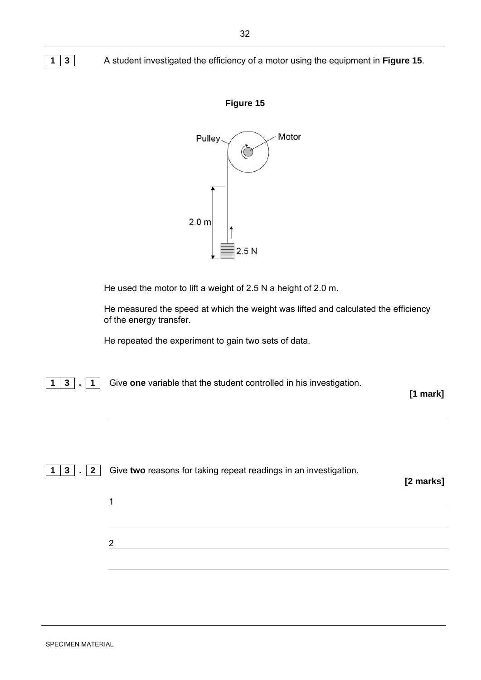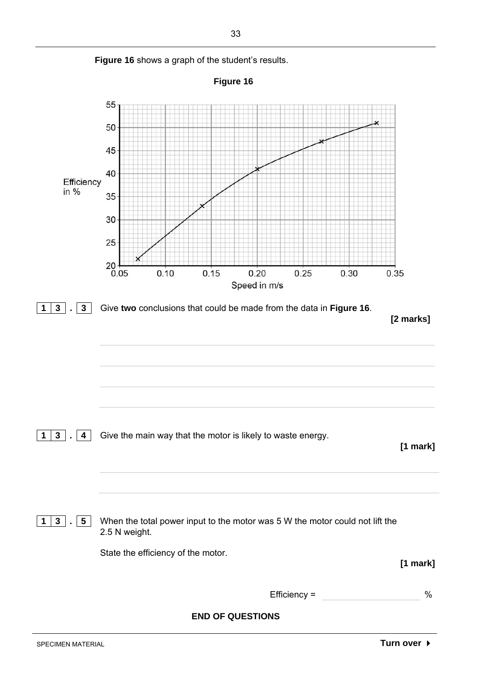

Figure 16 shows a graph of the student's results.